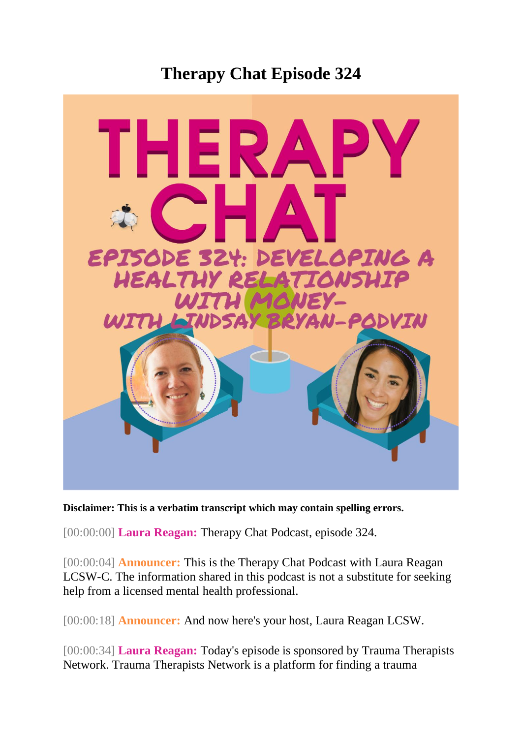## **Therapy Chat Episode 324**



**Disclaimer: This is a verbatim transcript which may contain spelling errors.**

[00:00:00] **Laura Reagan:** Therapy Chat Podcast, episode 324.

[00:00:04] **Announcer:** This is the Therapy Chat Podcast with Laura Reagan LCSW-C. The information shared in this podcast is not a substitute for seeking help from a licensed mental health professional.

[00:00:18] **Announcer:** And now here's your host, Laura Reagan LCSW.

[00:00:34] **Laura Reagan:** Today's episode is sponsored by Trauma Therapists Network. Trauma Therapists Network is a platform for finding a trauma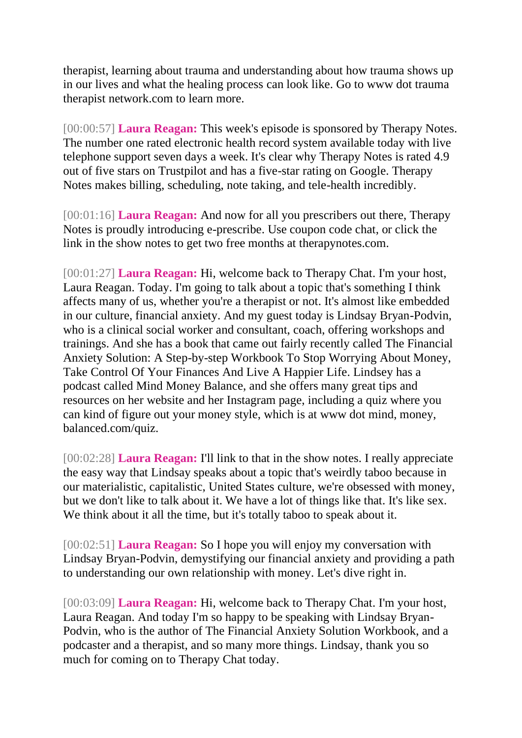therapist, learning about trauma and understanding about how trauma shows up in our lives and what the healing process can look like. Go to www dot trauma therapist network.com to learn more.

[00:00:57] **Laura Reagan:** This week's episode is sponsored by Therapy Notes. The number one rated electronic health record system available today with live telephone support seven days a week. It's clear why Therapy Notes is rated 4.9 out of five stars on Trustpilot and has a five-star rating on Google. Therapy Notes makes billing, scheduling, note taking, and tele-health incredibly.

[00:01:16] **Laura Reagan:** And now for all you prescribers out there, Therapy Notes is proudly introducing e-prescribe. Use coupon code chat, or click the link in the show notes to get two free months at therapynotes.com.

[00:01:27] **Laura Reagan:** Hi, welcome back to Therapy Chat. I'm your host, Laura Reagan. Today. I'm going to talk about a topic that's something I think affects many of us, whether you're a therapist or not. It's almost like embedded in our culture, financial anxiety. And my guest today is Lindsay Bryan-Podvin, who is a clinical social worker and consultant, coach, offering workshops and trainings. And she has a book that came out fairly recently called The Financial Anxiety Solution: A Step-by-step Workbook To Stop Worrying About Money, Take Control Of Your Finances And Live A Happier Life. Lindsey has a podcast called Mind Money Balance, and she offers many great tips and resources on her website and her Instagram page, including a quiz where you can kind of figure out your money style, which is at www dot mind, money, balanced.com/quiz.

[00:02:28] **Laura Reagan:** I'll link to that in the show notes. I really appreciate the easy way that Lindsay speaks about a topic that's weirdly taboo because in our materialistic, capitalistic, United States culture, we're obsessed with money, but we don't like to talk about it. We have a lot of things like that. It's like sex. We think about it all the time, but it's totally taboo to speak about it.

[00:02:51] **Laura Reagan:** So I hope you will enjoy my conversation with Lindsay Bryan-Podvin, demystifying our financial anxiety and providing a path to understanding our own relationship with money. Let's dive right in.

[00:03:09] **Laura Reagan:** Hi, welcome back to Therapy Chat. I'm your host, Laura Reagan. And today I'm so happy to be speaking with Lindsay Bryan-Podvin, who is the author of The Financial Anxiety Solution Workbook, and a podcaster and a therapist, and so many more things. Lindsay, thank you so much for coming on to Therapy Chat today.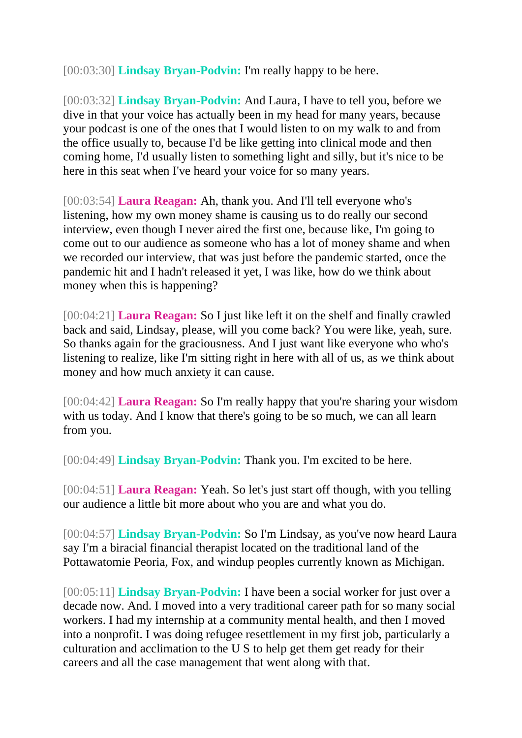[00:03:30] **Lindsay Bryan-Podvin:** I'm really happy to be here.

[00:03:32] **Lindsay Bryan-Podvin:** And Laura, I have to tell you, before we dive in that your voice has actually been in my head for many years, because your podcast is one of the ones that I would listen to on my walk to and from the office usually to, because I'd be like getting into clinical mode and then coming home, I'd usually listen to something light and silly, but it's nice to be here in this seat when I've heard your voice for so many years.

[00:03:54] **Laura Reagan:** Ah, thank you. And I'll tell everyone who's listening, how my own money shame is causing us to do really our second interview, even though I never aired the first one, because like, I'm going to come out to our audience as someone who has a lot of money shame and when we recorded our interview, that was just before the pandemic started, once the pandemic hit and I hadn't released it yet, I was like, how do we think about money when this is happening?

[00:04:21] **Laura Reagan:** So I just like left it on the shelf and finally crawled back and said, Lindsay, please, will you come back? You were like, yeah, sure. So thanks again for the graciousness. And I just want like everyone who who's listening to realize, like I'm sitting right in here with all of us, as we think about money and how much anxiety it can cause.

[00:04:42] **Laura Reagan:** So I'm really happy that you're sharing your wisdom with us today. And I know that there's going to be so much, we can all learn from you.

[00:04:49] **Lindsay Bryan-Podvin:** Thank you. I'm excited to be here.

[00:04:51] **Laura Reagan:** Yeah. So let's just start off though, with you telling our audience a little bit more about who you are and what you do.

[00:04:57] **Lindsay Bryan-Podvin:** So I'm Lindsay, as you've now heard Laura say I'm a biracial financial therapist located on the traditional land of the Pottawatomie Peoria, Fox, and windup peoples currently known as Michigan.

[00:05:11] **Lindsay Bryan-Podvin:** I have been a social worker for just over a decade now. And. I moved into a very traditional career path for so many social workers. I had my internship at a community mental health, and then I moved into a nonprofit. I was doing refugee resettlement in my first job, particularly a culturation and acclimation to the U S to help get them get ready for their careers and all the case management that went along with that.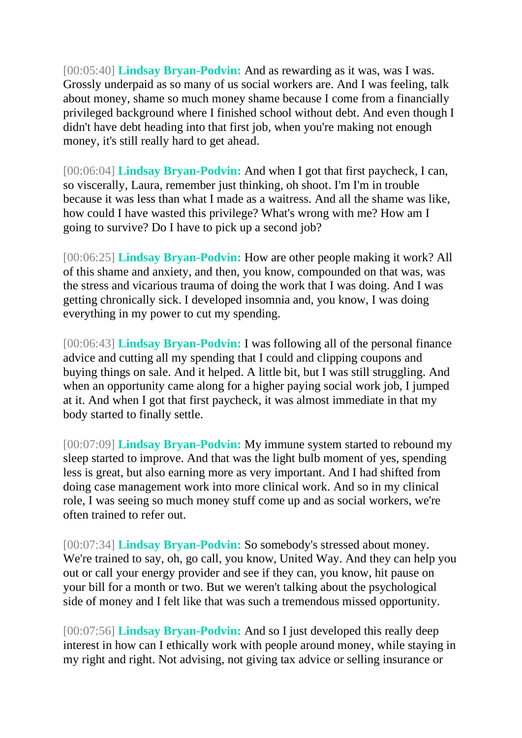[00:05:40] **Lindsay Bryan-Podvin:** And as rewarding as it was, was I was. Grossly underpaid as so many of us social workers are. And I was feeling, talk about money, shame so much money shame because I come from a financially privileged background where I finished school without debt. And even though I didn't have debt heading into that first job, when you're making not enough money, it's still really hard to get ahead.

[00:06:04] **Lindsay Bryan-Podvin:** And when I got that first paycheck, I can, so viscerally, Laura, remember just thinking, oh shoot. I'm I'm in trouble because it was less than what I made as a waitress. And all the shame was like, how could I have wasted this privilege? What's wrong with me? How am I going to survive? Do I have to pick up a second job?

[00:06:25] **Lindsay Bryan-Podvin:** How are other people making it work? All of this shame and anxiety, and then, you know, compounded on that was, was the stress and vicarious trauma of doing the work that I was doing. And I was getting chronically sick. I developed insomnia and, you know, I was doing everything in my power to cut my spending.

[00:06:43] **Lindsay Bryan-Podvin:** I was following all of the personal finance advice and cutting all my spending that I could and clipping coupons and buying things on sale. And it helped. A little bit, but I was still struggling. And when an opportunity came along for a higher paying social work job, I jumped at it. And when I got that first paycheck, it was almost immediate in that my body started to finally settle.

[00:07:09] **Lindsay Bryan-Podvin:** My immune system started to rebound my sleep started to improve. And that was the light bulb moment of yes, spending less is great, but also earning more as very important. And I had shifted from doing case management work into more clinical work. And so in my clinical role, I was seeing so much money stuff come up and as social workers, we're often trained to refer out.

[00:07:34] **Lindsay Bryan-Podvin:** So somebody's stressed about money. We're trained to say, oh, go call, you know, United Way. And they can help you out or call your energy provider and see if they can, you know, hit pause on your bill for a month or two. But we weren't talking about the psychological side of money and I felt like that was such a tremendous missed opportunity.

[00:07:56] **Lindsay Bryan-Podvin:** And so I just developed this really deep interest in how can I ethically work with people around money, while staying in my right and right. Not advising, not giving tax advice or selling insurance or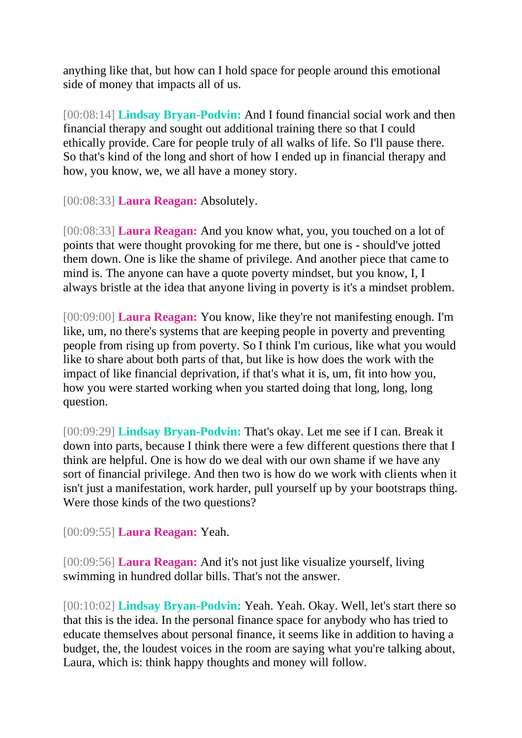anything like that, but how can I hold space for people around this emotional side of money that impacts all of us.

[00:08:14] **Lindsay Bryan-Podvin:** And I found financial social work and then financial therapy and sought out additional training there so that I could ethically provide. Care for people truly of all walks of life. So I'll pause there. So that's kind of the long and short of how I ended up in financial therapy and how, you know, we, we all have a money story.

[00:08:33] **Laura Reagan:** Absolutely.

[00:08:33] **Laura Reagan:** And you know what, you, you touched on a lot of points that were thought provoking for me there, but one is - should've jotted them down. One is like the shame of privilege. And another piece that came to mind is. The anyone can have a quote poverty mindset, but you know, I, I always bristle at the idea that anyone living in poverty is it's a mindset problem.

[00:09:00] **Laura Reagan:** You know, like they're not manifesting enough. I'm like, um, no there's systems that are keeping people in poverty and preventing people from rising up from poverty. So I think I'm curious, like what you would like to share about both parts of that, but like is how does the work with the impact of like financial deprivation, if that's what it is, um, fit into how you, how you were started working when you started doing that long, long, long question.

[00:09:29] **Lindsay Bryan-Podvin:** That's okay. Let me see if I can. Break it down into parts, because I think there were a few different questions there that I think are helpful. One is how do we deal with our own shame if we have any sort of financial privilege. And then two is how do we work with clients when it isn't just a manifestation, work harder, pull yourself up by your bootstraps thing. Were those kinds of the two questions?

[00:09:55] **Laura Reagan:** Yeah.

[00:09:56] **Laura Reagan:** And it's not just like visualize yourself, living swimming in hundred dollar bills. That's not the answer.

[00:10:02] **Lindsay Bryan-Podvin:** Yeah. Yeah. Okay. Well, let's start there so that this is the idea. In the personal finance space for anybody who has tried to educate themselves about personal finance, it seems like in addition to having a budget, the, the loudest voices in the room are saying what you're talking about, Laura, which is: think happy thoughts and money will follow.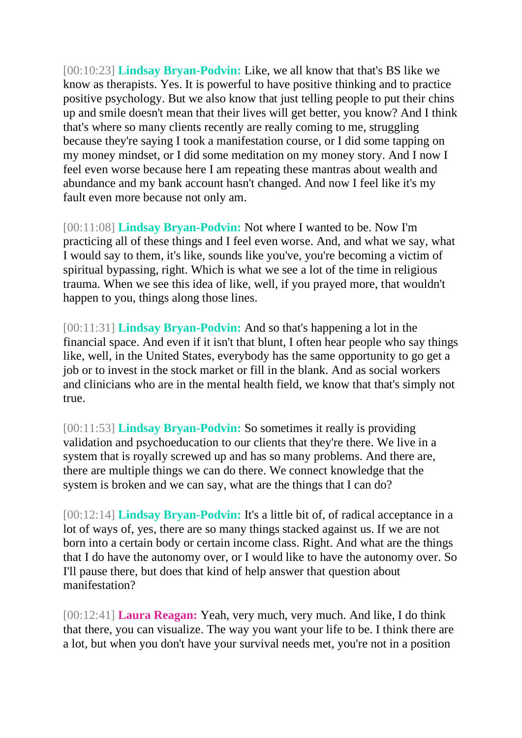[00:10:23] **Lindsay Bryan-Podvin:** Like, we all know that that's BS like we know as therapists. Yes. It is powerful to have positive thinking and to practice positive psychology. But we also know that just telling people to put their chins up and smile doesn't mean that their lives will get better, you know? And I think that's where so many clients recently are really coming to me, struggling because they're saying I took a manifestation course, or I did some tapping on my money mindset, or I did some meditation on my money story. And I now I feel even worse because here I am repeating these mantras about wealth and abundance and my bank account hasn't changed. And now I feel like it's my fault even more because not only am.

[00:11:08] **Lindsay Bryan-Podvin:** Not where I wanted to be. Now I'm practicing all of these things and I feel even worse. And, and what we say, what I would say to them, it's like, sounds like you've, you're becoming a victim of spiritual bypassing, right. Which is what we see a lot of the time in religious trauma. When we see this idea of like, well, if you prayed more, that wouldn't happen to you, things along those lines.

[00:11:31] **Lindsay Bryan-Podvin:** And so that's happening a lot in the financial space. And even if it isn't that blunt, I often hear people who say things like, well, in the United States, everybody has the same opportunity to go get a job or to invest in the stock market or fill in the blank. And as social workers and clinicians who are in the mental health field, we know that that's simply not true.

[00:11:53] **Lindsay Bryan-Podvin:** So sometimes it really is providing validation and psychoeducation to our clients that they're there. We live in a system that is royally screwed up and has so many problems. And there are, there are multiple things we can do there. We connect knowledge that the system is broken and we can say, what are the things that I can do?

[00:12:14] **Lindsay Bryan-Podvin:** It's a little bit of, of radical acceptance in a lot of ways of, yes, there are so many things stacked against us. If we are not born into a certain body or certain income class. Right. And what are the things that I do have the autonomy over, or I would like to have the autonomy over. So I'll pause there, but does that kind of help answer that question about manifestation?

[00:12:41] **Laura Reagan:** Yeah, very much, very much. And like, I do think that there, you can visualize. The way you want your life to be. I think there are a lot, but when you don't have your survival needs met, you're not in a position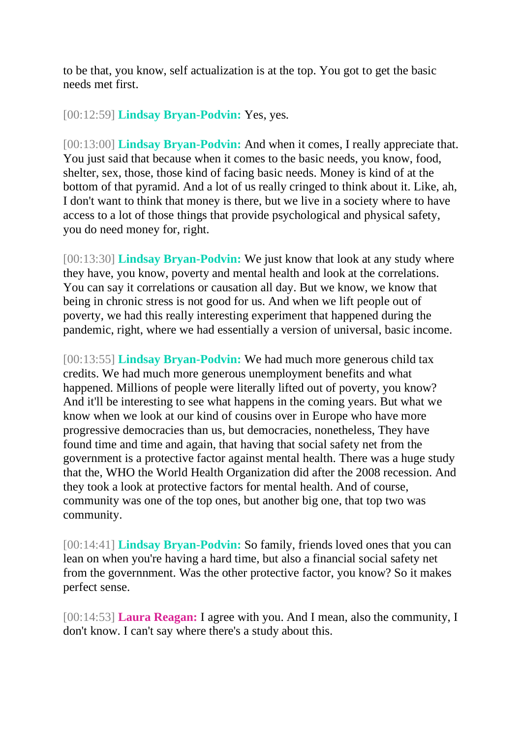to be that, you know, self actualization is at the top. You got to get the basic needs met first.

## [00:12:59] **Lindsay Bryan-Podvin:** Yes, yes.

[00:13:00] **Lindsay Bryan-Podvin:** And when it comes, I really appreciate that. You just said that because when it comes to the basic needs, you know, food, shelter, sex, those, those kind of facing basic needs. Money is kind of at the bottom of that pyramid. And a lot of us really cringed to think about it. Like, ah, I don't want to think that money is there, but we live in a society where to have access to a lot of those things that provide psychological and physical safety, you do need money for, right.

[00:13:30] **Lindsay Bryan-Podvin:** We just know that look at any study where they have, you know, poverty and mental health and look at the correlations. You can say it correlations or causation all day. But we know, we know that being in chronic stress is not good for us. And when we lift people out of poverty, we had this really interesting experiment that happened during the pandemic, right, where we had essentially a version of universal, basic income.

[00:13:55] **Lindsay Bryan-Podvin:** We had much more generous child tax credits. We had much more generous unemployment benefits and what happened. Millions of people were literally lifted out of poverty, you know? And it'll be interesting to see what happens in the coming years. But what we know when we look at our kind of cousins over in Europe who have more progressive democracies than us, but democracies, nonetheless, They have found time and time and again, that having that social safety net from the government is a protective factor against mental health. There was a huge study that the, WHO the World Health Organization did after the 2008 recession. And they took a look at protective factors for mental health. And of course, community was one of the top ones, but another big one, that top two was community.

[00:14:41] **Lindsay Bryan-Podvin:** So family, friends loved ones that you can lean on when you're having a hard time, but also a financial social safety net from the governnment. Was the other protective factor, you know? So it makes perfect sense.

[00:14:53] **Laura Reagan:** I agree with you. And I mean, also the community, I don't know. I can't say where there's a study about this.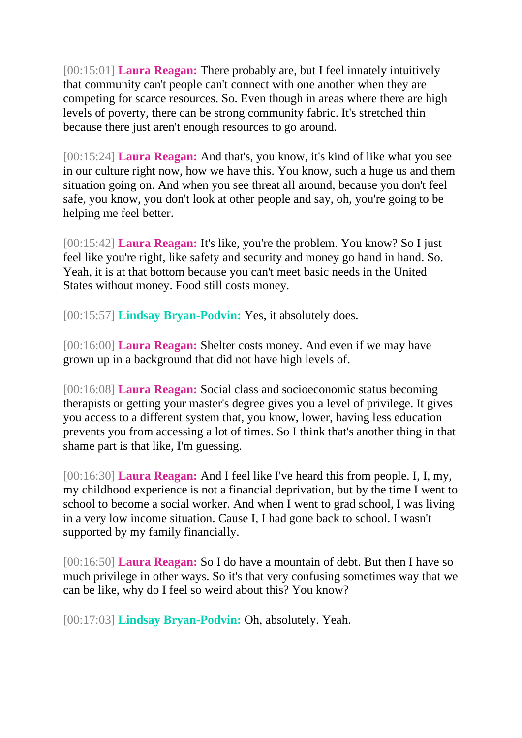[00:15:01] **Laura Reagan:** There probably are, but I feel innately intuitively that community can't people can't connect with one another when they are competing for scarce resources. So. Even though in areas where there are high levels of poverty, there can be strong community fabric. It's stretched thin because there just aren't enough resources to go around.

[00:15:24] **Laura Reagan:** And that's, you know, it's kind of like what you see in our culture right now, how we have this. You know, such a huge us and them situation going on. And when you see threat all around, because you don't feel safe, you know, you don't look at other people and say, oh, you're going to be helping me feel better.

[00:15:42] **Laura Reagan:** It's like, you're the problem. You know? So I just feel like you're right, like safety and security and money go hand in hand. So. Yeah, it is at that bottom because you can't meet basic needs in the United States without money. Food still costs money.

[00:15:57] **Lindsay Bryan-Podvin:** Yes, it absolutely does.

[00:16:00] **Laura Reagan:** Shelter costs money. And even if we may have grown up in a background that did not have high levels of.

[00:16:08] **Laura Reagan:** Social class and socioeconomic status becoming therapists or getting your master's degree gives you a level of privilege. It gives you access to a different system that, you know, lower, having less education prevents you from accessing a lot of times. So I think that's another thing in that shame part is that like, I'm guessing.

[00:16:30] **Laura Reagan:** And I feel like I've heard this from people. I, I, my, my childhood experience is not a financial deprivation, but by the time I went to school to become a social worker. And when I went to grad school, I was living in a very low income situation. Cause I, I had gone back to school. I wasn't supported by my family financially.

[00:16:50] **Laura Reagan:** So I do have a mountain of debt. But then I have so much privilege in other ways. So it's that very confusing sometimes way that we can be like, why do I feel so weird about this? You know?

[00:17:03] **Lindsay Bryan-Podvin:** Oh, absolutely. Yeah.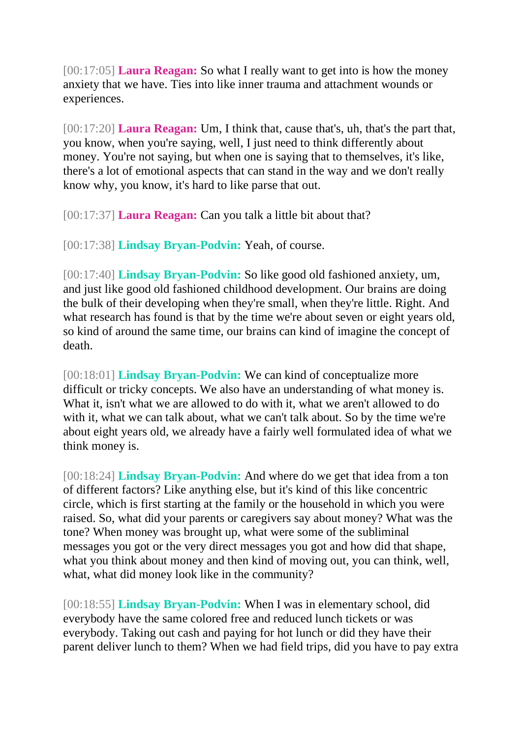[00:17:05] **Laura Reagan:** So what I really want to get into is how the money anxiety that we have. Ties into like inner trauma and attachment wounds or experiences.

[00:17:20] **Laura Reagan:** Um, I think that, cause that's, uh, that's the part that, you know, when you're saying, well, I just need to think differently about money. You're not saying, but when one is saying that to themselves, it's like, there's a lot of emotional aspects that can stand in the way and we don't really know why, you know, it's hard to like parse that out.

[00:17:37] **Laura Reagan:** Can you talk a little bit about that?

[00:17:38] **Lindsay Bryan-Podvin:** Yeah, of course.

[00:17:40] **Lindsay Bryan-Podvin:** So like good old fashioned anxiety, um, and just like good old fashioned childhood development. Our brains are doing the bulk of their developing when they're small, when they're little. Right. And what research has found is that by the time we're about seven or eight years old, so kind of around the same time, our brains can kind of imagine the concept of death.

[00:18:01] **Lindsay Bryan-Podvin:** We can kind of conceptualize more difficult or tricky concepts. We also have an understanding of what money is. What it, isn't what we are allowed to do with it, what we aren't allowed to do with it, what we can talk about, what we can't talk about. So by the time we're about eight years old, we already have a fairly well formulated idea of what we think money is.

[00:18:24] **Lindsay Bryan-Podvin:** And where do we get that idea from a ton of different factors? Like anything else, but it's kind of this like concentric circle, which is first starting at the family or the household in which you were raised. So, what did your parents or caregivers say about money? What was the tone? When money was brought up, what were some of the subliminal messages you got or the very direct messages you got and how did that shape, what you think about money and then kind of moving out, you can think, well, what, what did money look like in the community?

[00:18:55] **Lindsay Bryan-Podvin:** When I was in elementary school, did everybody have the same colored free and reduced lunch tickets or was everybody. Taking out cash and paying for hot lunch or did they have their parent deliver lunch to them? When we had field trips, did you have to pay extra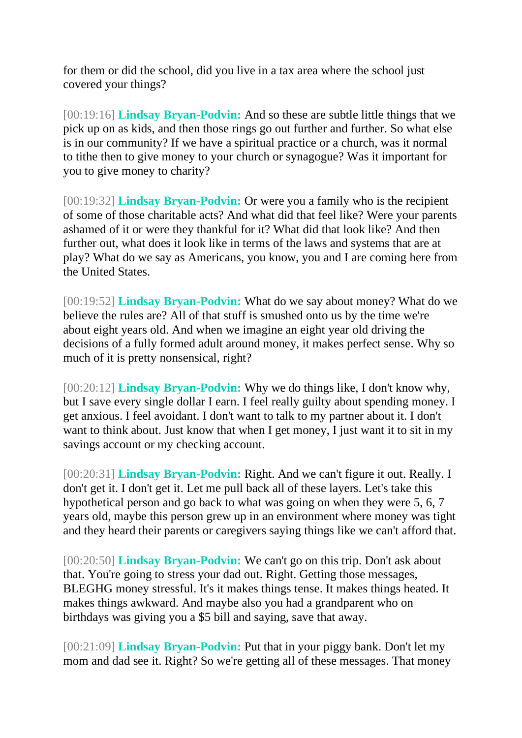for them or did the school, did you live in a tax area where the school just covered your things?

[00:19:16] **Lindsay Bryan-Podvin:** And so these are subtle little things that we pick up on as kids, and then those rings go out further and further. So what else is in our community? If we have a spiritual practice or a church, was it normal to tithe then to give money to your church or synagogue? Was it important for you to give money to charity?

[00:19:32] **Lindsay Bryan-Podvin:** Or were you a family who is the recipient of some of those charitable acts? And what did that feel like? Were your parents ashamed of it or were they thankful for it? What did that look like? And then further out, what does it look like in terms of the laws and systems that are at play? What do we say as Americans, you know, you and I are coming here from the United States.

[00:19:52] **Lindsay Bryan-Podvin:** What do we say about money? What do we believe the rules are? All of that stuff is smushed onto us by the time we're about eight years old. And when we imagine an eight year old driving the decisions of a fully formed adult around money, it makes perfect sense. Why so much of it is pretty nonsensical, right?

[00:20:12] **Lindsay Bryan-Podvin:** Why we do things like, I don't know why, but I save every single dollar I earn. I feel really guilty about spending money. I get anxious. I feel avoidant. I don't want to talk to my partner about it. I don't want to think about. Just know that when I get money, I just want it to sit in my savings account or my checking account.

[00:20:31] **Lindsay Bryan-Podvin:** Right. And we can't figure it out. Really. I don't get it. I don't get it. Let me pull back all of these layers. Let's take this hypothetical person and go back to what was going on when they were 5, 6, 7 years old, maybe this person grew up in an environment where money was tight and they heard their parents or caregivers saying things like we can't afford that.

[00:20:50] **Lindsay Bryan-Podvin:** We can't go on this trip. Don't ask about that. You're going to stress your dad out. Right. Getting those messages, BLEGHG money stressful. It's it makes things tense. It makes things heated. It makes things awkward. And maybe also you had a grandparent who on birthdays was giving you a \$5 bill and saying, save that away.

[00:21:09] **Lindsay Bryan-Podvin:** Put that in your piggy bank. Don't let my mom and dad see it. Right? So we're getting all of these messages. That money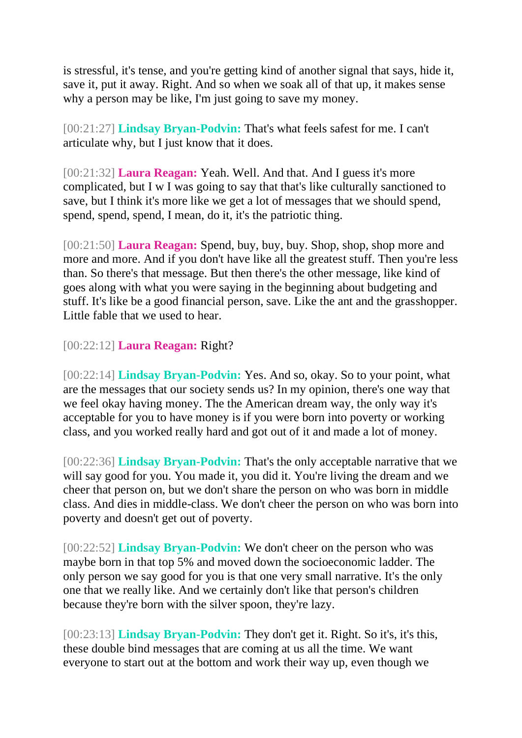is stressful, it's tense, and you're getting kind of another signal that says, hide it, save it, put it away. Right. And so when we soak all of that up, it makes sense why a person may be like, I'm just going to save my money.

[00:21:27] **Lindsay Bryan-Podvin:** That's what feels safest for me. I can't articulate why, but I just know that it does.

[00:21:32] **Laura Reagan:** Yeah. Well. And that. And I guess it's more complicated, but I w I was going to say that that's like culturally sanctioned to save, but I think it's more like we get a lot of messages that we should spend, spend, spend, spend, I mean, do it, it's the patriotic thing.

[00:21:50] **Laura Reagan:** Spend, buy, buy, buy. Shop, shop, shop more and more and more. And if you don't have like all the greatest stuff. Then you're less than. So there's that message. But then there's the other message, like kind of goes along with what you were saying in the beginning about budgeting and stuff. It's like be a good financial person, save. Like the ant and the grasshopper. Little fable that we used to hear.

[00:22:12] **Laura Reagan:** Right?

[00:22:14] **Lindsay Bryan-Podvin:** Yes. And so, okay. So to your point, what are the messages that our society sends us? In my opinion, there's one way that we feel okay having money. The the American dream way, the only way it's acceptable for you to have money is if you were born into poverty or working class, and you worked really hard and got out of it and made a lot of money.

[00:22:36] **Lindsay Bryan-Podvin:** That's the only acceptable narrative that we will say good for you. You made it, you did it. You're living the dream and we cheer that person on, but we don't share the person on who was born in middle class. And dies in middle-class. We don't cheer the person on who was born into poverty and doesn't get out of poverty.

[00:22:52] **Lindsay Bryan-Podvin:** We don't cheer on the person who was maybe born in that top 5% and moved down the socioeconomic ladder. The only person we say good for you is that one very small narrative. It's the only one that we really like. And we certainly don't like that person's children because they're born with the silver spoon, they're lazy.

[00:23:13] **Lindsay Bryan-Podvin:** They don't get it. Right. So it's, it's this, these double bind messages that are coming at us all the time. We want everyone to start out at the bottom and work their way up, even though we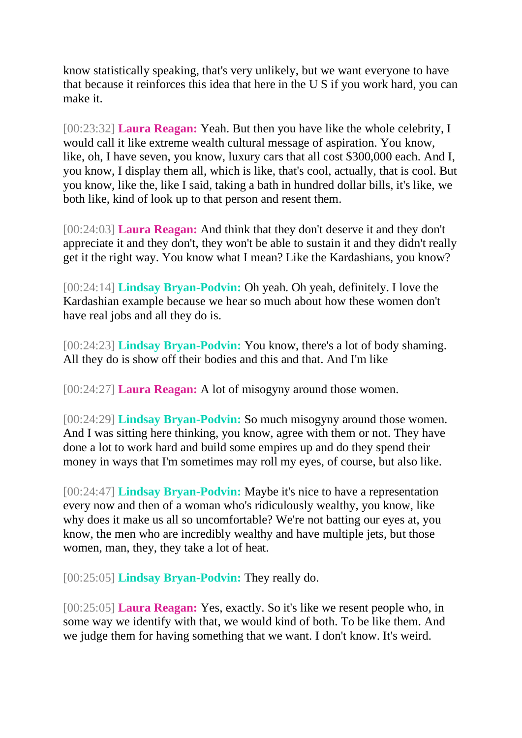know statistically speaking, that's very unlikely, but we want everyone to have that because it reinforces this idea that here in the U S if you work hard, you can make it.

[00:23:32] **Laura Reagan:** Yeah. But then you have like the whole celebrity, I would call it like extreme wealth cultural message of aspiration. You know, like, oh, I have seven, you know, luxury cars that all cost \$300,000 each. And I, you know, I display them all, which is like, that's cool, actually, that is cool. But you know, like the, like I said, taking a bath in hundred dollar bills, it's like, we both like, kind of look up to that person and resent them.

[00:24:03] **Laura Reagan:** And think that they don't deserve it and they don't appreciate it and they don't, they won't be able to sustain it and they didn't really get it the right way. You know what I mean? Like the Kardashians, you know?

[00:24:14] **Lindsay Bryan-Podvin:** Oh yeah. Oh yeah, definitely. I love the Kardashian example because we hear so much about how these women don't have real jobs and all they do is.

[00:24:23] **Lindsay Bryan-Podvin:** You know, there's a lot of body shaming. All they do is show off their bodies and this and that. And I'm like

[00:24:27] **Laura Reagan:** A lot of misogyny around those women.

[00:24:29] **Lindsay Bryan-Podvin:** So much misogyny around those women. And I was sitting here thinking, you know, agree with them or not. They have done a lot to work hard and build some empires up and do they spend their money in ways that I'm sometimes may roll my eyes, of course, but also like.

[00:24:47] **Lindsay Bryan-Podvin:** Maybe it's nice to have a representation every now and then of a woman who's ridiculously wealthy, you know, like why does it make us all so uncomfortable? We're not batting our eyes at, you know, the men who are incredibly wealthy and have multiple jets, but those women, man, they, they take a lot of heat.

[00:25:05] **Lindsay Bryan-Podvin:** They really do.

[00:25:05] **Laura Reagan:** Yes, exactly. So it's like we resent people who, in some way we identify with that, we would kind of both. To be like them. And we judge them for having something that we want. I don't know. It's weird.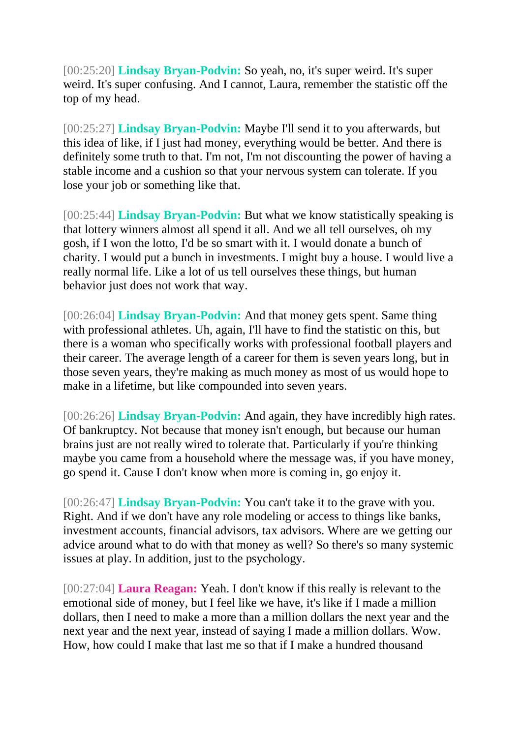[00:25:20] **Lindsay Bryan-Podvin:** So yeah, no, it's super weird. It's super weird. It's super confusing. And I cannot, Laura, remember the statistic off the top of my head.

[00:25:27] **Lindsay Bryan-Podvin:** Maybe I'll send it to you afterwards, but this idea of like, if I just had money, everything would be better. And there is definitely some truth to that. I'm not, I'm not discounting the power of having a stable income and a cushion so that your nervous system can tolerate. If you lose your job or something like that.

[00:25:44] **Lindsay Bryan-Podvin:** But what we know statistically speaking is that lottery winners almost all spend it all. And we all tell ourselves, oh my gosh, if I won the lotto, I'd be so smart with it. I would donate a bunch of charity. I would put a bunch in investments. I might buy a house. I would live a really normal life. Like a lot of us tell ourselves these things, but human behavior just does not work that way.

[00:26:04] **Lindsay Bryan-Podvin:** And that money gets spent. Same thing with professional athletes. Uh, again, I'll have to find the statistic on this, but there is a woman who specifically works with professional football players and their career. The average length of a career for them is seven years long, but in those seven years, they're making as much money as most of us would hope to make in a lifetime, but like compounded into seven years.

[00:26:26] **Lindsay Bryan-Podvin:** And again, they have incredibly high rates. Of bankruptcy. Not because that money isn't enough, but because our human brains just are not really wired to tolerate that. Particularly if you're thinking maybe you came from a household where the message was, if you have money, go spend it. Cause I don't know when more is coming in, go enjoy it.

[00:26:47] **Lindsay Bryan-Podvin:** You can't take it to the grave with you. Right. And if we don't have any role modeling or access to things like banks, investment accounts, financial advisors, tax advisors. Where are we getting our advice around what to do with that money as well? So there's so many systemic issues at play. In addition, just to the psychology.

[00:27:04] **Laura Reagan:** Yeah. I don't know if this really is relevant to the emotional side of money, but I feel like we have, it's like if I made a million dollars, then I need to make a more than a million dollars the next year and the next year and the next year, instead of saying I made a million dollars. Wow. How, how could I make that last me so that if I make a hundred thousand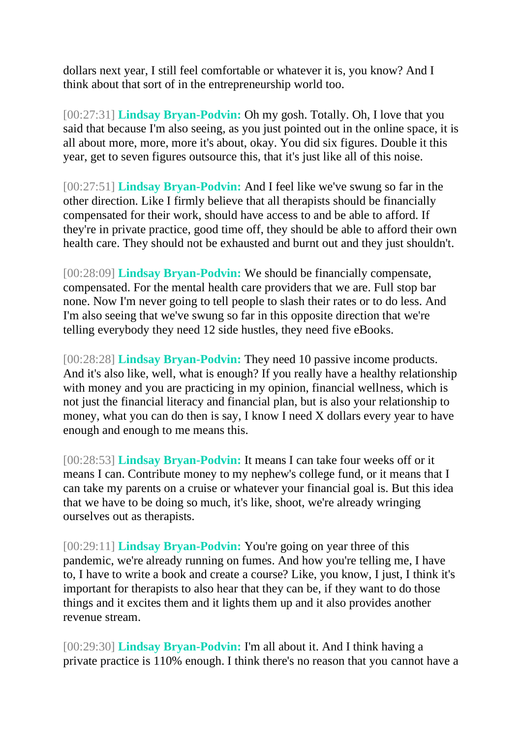dollars next year, I still feel comfortable or whatever it is, you know? And I think about that sort of in the entrepreneurship world too.

[00:27:31] **Lindsay Bryan-Podvin:** Oh my gosh. Totally. Oh, I love that you said that because I'm also seeing, as you just pointed out in the online space, it is all about more, more, more it's about, okay. You did six figures. Double it this year, get to seven figures outsource this, that it's just like all of this noise.

[00:27:51] **Lindsay Bryan-Podvin:** And I feel like we've swung so far in the other direction. Like I firmly believe that all therapists should be financially compensated for their work, should have access to and be able to afford. If they're in private practice, good time off, they should be able to afford their own health care. They should not be exhausted and burnt out and they just shouldn't.

[00:28:09] **Lindsay Bryan-Podvin:** We should be financially compensate, compensated. For the mental health care providers that we are. Full stop bar none. Now I'm never going to tell people to slash their rates or to do less. And I'm also seeing that we've swung so far in this opposite direction that we're telling everybody they need 12 side hustles, they need five eBooks.

[00:28:28] **Lindsay Bryan-Podvin:** They need 10 passive income products. And it's also like, well, what is enough? If you really have a healthy relationship with money and you are practicing in my opinion, financial wellness, which is not just the financial literacy and financial plan, but is also your relationship to money, what you can do then is say, I know I need X dollars every year to have enough and enough to me means this.

[00:28:53] **Lindsay Bryan-Podvin:** It means I can take four weeks off or it means I can. Contribute money to my nephew's college fund, or it means that I can take my parents on a cruise or whatever your financial goal is. But this idea that we have to be doing so much, it's like, shoot, we're already wringing ourselves out as therapists.

[00:29:11] **Lindsay Bryan-Podvin:** You're going on year three of this pandemic, we're already running on fumes. And how you're telling me, I have to, I have to write a book and create a course? Like, you know, I just, I think it's important for therapists to also hear that they can be, if they want to do those things and it excites them and it lights them up and it also provides another revenue stream.

[00:29:30] **Lindsay Bryan-Podvin:** I'm all about it. And I think having a private practice is 110% enough. I think there's no reason that you cannot have a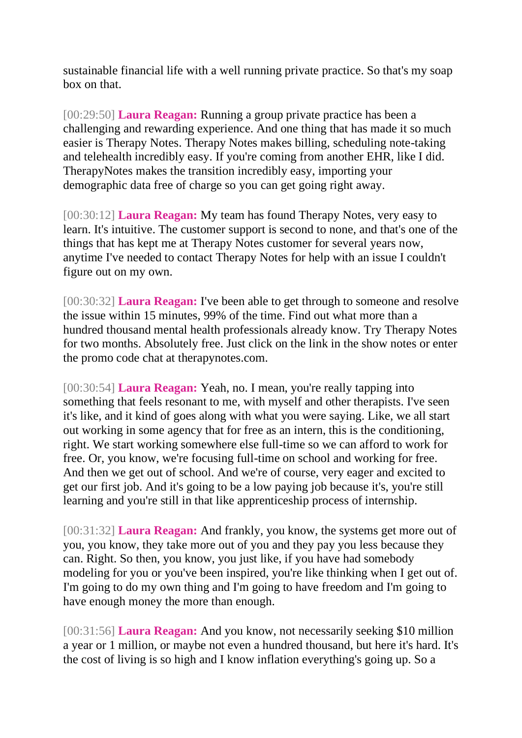sustainable financial life with a well running private practice. So that's my soap box on that.

[00:29:50] **Laura Reagan:** Running a group private practice has been a challenging and rewarding experience. And one thing that has made it so much easier is Therapy Notes. Therapy Notes makes billing, scheduling note-taking and telehealth incredibly easy. If you're coming from another EHR, like I did. TherapyNotes makes the transition incredibly easy, importing your demographic data free of charge so you can get going right away.

[00:30:12] **Laura Reagan:** My team has found Therapy Notes, very easy to learn. It's intuitive. The customer support is second to none, and that's one of the things that has kept me at Therapy Notes customer for several years now, anytime I've needed to contact Therapy Notes for help with an issue I couldn't figure out on my own.

[00:30:32] **Laura Reagan:** I've been able to get through to someone and resolve the issue within 15 minutes, 99% of the time. Find out what more than a hundred thousand mental health professionals already know. Try Therapy Notes for two months. Absolutely free. Just click on the link in the show notes or enter the promo code chat at therapynotes.com.

[00:30:54] **Laura Reagan:** Yeah, no. I mean, you're really tapping into something that feels resonant to me, with myself and other therapists. I've seen it's like, and it kind of goes along with what you were saying. Like, we all start out working in some agency that for free as an intern, this is the conditioning, right. We start working somewhere else full-time so we can afford to work for free. Or, you know, we're focusing full-time on school and working for free. And then we get out of school. And we're of course, very eager and excited to get our first job. And it's going to be a low paying job because it's, you're still learning and you're still in that like apprenticeship process of internship.

[00:31:32] **Laura Reagan:** And frankly, you know, the systems get more out of you, you know, they take more out of you and they pay you less because they can. Right. So then, you know, you just like, if you have had somebody modeling for you or you've been inspired, you're like thinking when I get out of. I'm going to do my own thing and I'm going to have freedom and I'm going to have enough money the more than enough.

[00:31:56] **Laura Reagan:** And you know, not necessarily seeking \$10 million a year or 1 million, or maybe not even a hundred thousand, but here it's hard. It's the cost of living is so high and I know inflation everything's going up. So a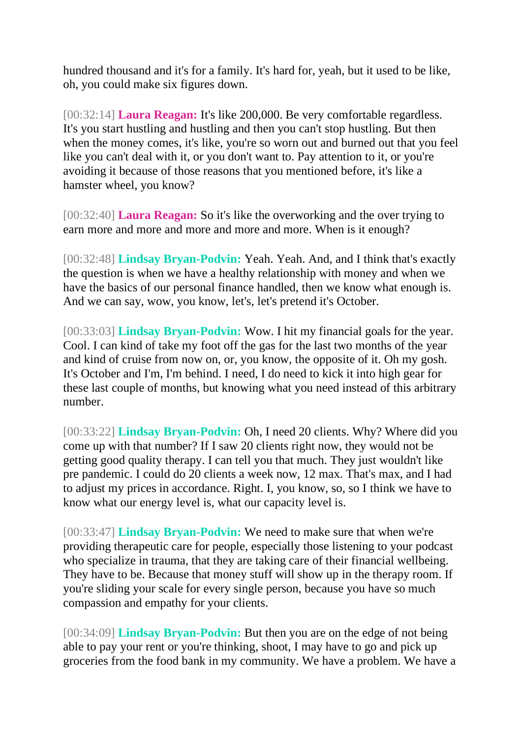hundred thousand and it's for a family. It's hard for, yeah, but it used to be like, oh, you could make six figures down.

[00:32:14] **Laura Reagan:** It's like 200,000. Be very comfortable regardless. It's you start hustling and hustling and then you can't stop hustling. But then when the money comes, it's like, you're so worn out and burned out that you feel like you can't deal with it, or you don't want to. Pay attention to it, or you're avoiding it because of those reasons that you mentioned before, it's like a hamster wheel, you know?

[00:32:40] **Laura Reagan:** So it's like the overworking and the over trying to earn more and more and more and more and more. When is it enough?

[00:32:48] **Lindsay Bryan-Podvin:** Yeah. Yeah. And, and I think that's exactly the question is when we have a healthy relationship with money and when we have the basics of our personal finance handled, then we know what enough is. And we can say, wow, you know, let's, let's pretend it's October.

[00:33:03] **Lindsay Bryan-Podvin:** Wow. I hit my financial goals for the year. Cool. I can kind of take my foot off the gas for the last two months of the year and kind of cruise from now on, or, you know, the opposite of it. Oh my gosh. It's October and I'm, I'm behind. I need, I do need to kick it into high gear for these last couple of months, but knowing what you need instead of this arbitrary number.

[00:33:22] **Lindsay Bryan-Podvin:** Oh, I need 20 clients. Why? Where did you come up with that number? If I saw 20 clients right now, they would not be getting good quality therapy. I can tell you that much. They just wouldn't like pre pandemic. I could do 20 clients a week now, 12 max. That's max, and I had to adjust my prices in accordance. Right. I, you know, so, so I think we have to know what our energy level is, what our capacity level is.

[00:33:47] **Lindsay Bryan-Podvin:** We need to make sure that when we're providing therapeutic care for people, especially those listening to your podcast who specialize in trauma, that they are taking care of their financial wellbeing. They have to be. Because that money stuff will show up in the therapy room. If you're sliding your scale for every single person, because you have so much compassion and empathy for your clients.

[00:34:09] **Lindsay Bryan-Podvin:** But then you are on the edge of not being able to pay your rent or you're thinking, shoot, I may have to go and pick up groceries from the food bank in my community. We have a problem. We have a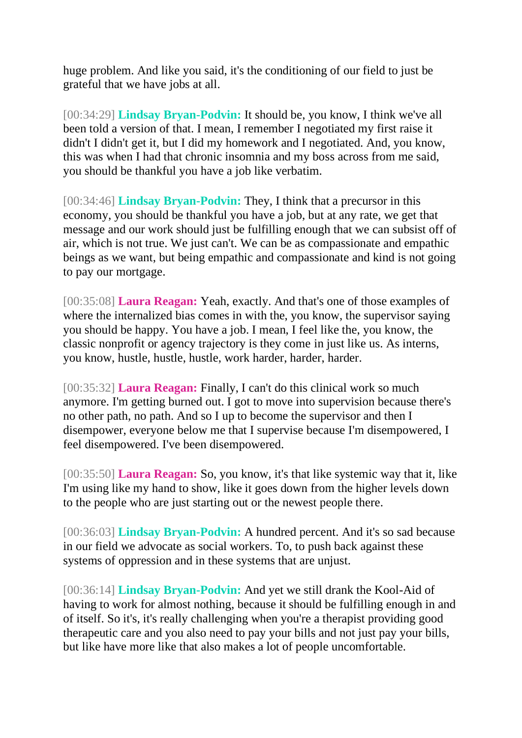huge problem. And like you said, it's the conditioning of our field to just be grateful that we have jobs at all.

[00:34:29] **Lindsay Bryan-Podvin:** It should be, you know, I think we've all been told a version of that. I mean, I remember I negotiated my first raise it didn't I didn't get it, but I did my homework and I negotiated. And, you know, this was when I had that chronic insomnia and my boss across from me said, you should be thankful you have a job like verbatim.

[00:34:46] **Lindsay Bryan-Podvin:** They, I think that a precursor in this economy, you should be thankful you have a job, but at any rate, we get that message and our work should just be fulfilling enough that we can subsist off of air, which is not true. We just can't. We can be as compassionate and empathic beings as we want, but being empathic and compassionate and kind is not going to pay our mortgage.

[00:35:08] **Laura Reagan:** Yeah, exactly. And that's one of those examples of where the internalized bias comes in with the, you know, the supervisor saying you should be happy. You have a job. I mean, I feel like the, you know, the classic nonprofit or agency trajectory is they come in just like us. As interns, you know, hustle, hustle, hustle, work harder, harder, harder.

[00:35:32] **Laura Reagan:** Finally, I can't do this clinical work so much anymore. I'm getting burned out. I got to move into supervision because there's no other path, no path. And so I up to become the supervisor and then I disempower, everyone below me that I supervise because I'm disempowered, I feel disempowered. I've been disempowered.

[00:35:50] **Laura Reagan:** So, you know, it's that like systemic way that it, like I'm using like my hand to show, like it goes down from the higher levels down to the people who are just starting out or the newest people there.

[00:36:03] **Lindsay Bryan-Podvin:** A hundred percent. And it's so sad because in our field we advocate as social workers. To, to push back against these systems of oppression and in these systems that are unjust.

[00:36:14] **Lindsay Bryan-Podvin:** And yet we still drank the Kool-Aid of having to work for almost nothing, because it should be fulfilling enough in and of itself. So it's, it's really challenging when you're a therapist providing good therapeutic care and you also need to pay your bills and not just pay your bills, but like have more like that also makes a lot of people uncomfortable.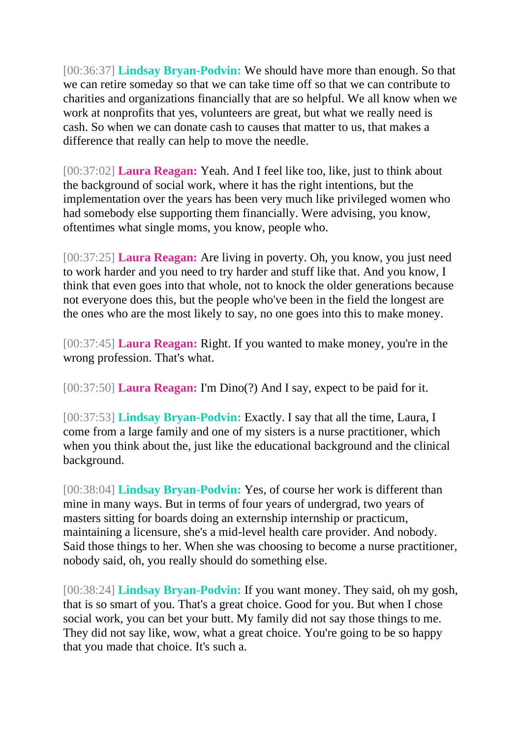[00:36:37] **Lindsay Bryan-Podvin:** We should have more than enough. So that we can retire someday so that we can take time off so that we can contribute to charities and organizations financially that are so helpful. We all know when we work at nonprofits that yes, volunteers are great, but what we really need is cash. So when we can donate cash to causes that matter to us, that makes a difference that really can help to move the needle.

[00:37:02] **Laura Reagan:** Yeah. And I feel like too, like, just to think about the background of social work, where it has the right intentions, but the implementation over the years has been very much like privileged women who had somebody else supporting them financially. Were advising, you know, oftentimes what single moms, you know, people who.

[00:37:25] **Laura Reagan:** Are living in poverty. Oh, you know, you just need to work harder and you need to try harder and stuff like that. And you know, I think that even goes into that whole, not to knock the older generations because not everyone does this, but the people who've been in the field the longest are the ones who are the most likely to say, no one goes into this to make money.

[00:37:45] **Laura Reagan:** Right. If you wanted to make money, you're in the wrong profession. That's what.

[00:37:50] **Laura Reagan:** I'm Dino(?) And I say, expect to be paid for it.

[00:37:53] **Lindsay Bryan-Podvin:** Exactly. I say that all the time, Laura, I come from a large family and one of my sisters is a nurse practitioner, which when you think about the, just like the educational background and the clinical background.

[00:38:04] **Lindsay Bryan-Podvin:** Yes, of course her work is different than mine in many ways. But in terms of four years of undergrad, two years of masters sitting for boards doing an externship internship or practicum, maintaining a licensure, she's a mid-level health care provider. And nobody. Said those things to her. When she was choosing to become a nurse practitioner, nobody said, oh, you really should do something else.

[00:38:24] **Lindsay Bryan-Podvin:** If you want money. They said, oh my gosh, that is so smart of you. That's a great choice. Good for you. But when I chose social work, you can bet your butt. My family did not say those things to me. They did not say like, wow, what a great choice. You're going to be so happy that you made that choice. It's such a.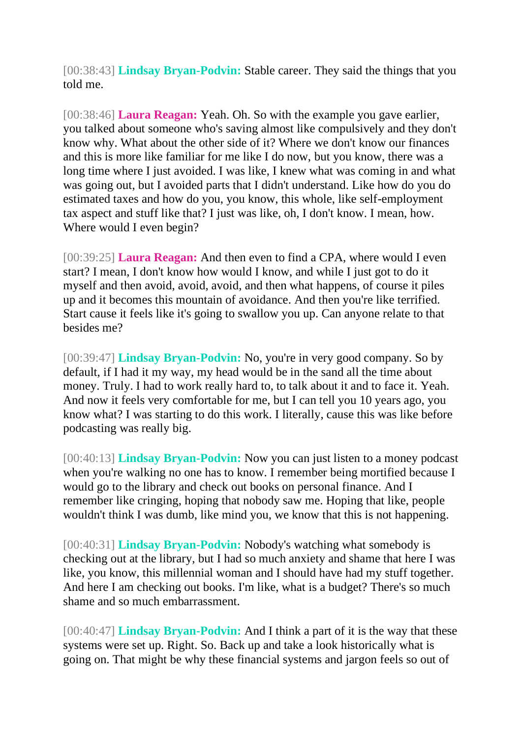[00:38:43] **Lindsay Bryan-Podvin:** Stable career. They said the things that you told me.

[00:38:46] **Laura Reagan:** Yeah. Oh. So with the example you gave earlier, you talked about someone who's saving almost like compulsively and they don't know why. What about the other side of it? Where we don't know our finances and this is more like familiar for me like I do now, but you know, there was a long time where I just avoided. I was like, I knew what was coming in and what was going out, but I avoided parts that I didn't understand. Like how do you do estimated taxes and how do you, you know, this whole, like self-employment tax aspect and stuff like that? I just was like, oh, I don't know. I mean, how. Where would I even begin?

[00:39:25] **Laura Reagan:** And then even to find a CPA, where would I even start? I mean, I don't know how would I know, and while I just got to do it myself and then avoid, avoid, avoid, and then what happens, of course it piles up and it becomes this mountain of avoidance. And then you're like terrified. Start cause it feels like it's going to swallow you up. Can anyone relate to that besides me?

[00:39:47] **Lindsay Bryan-Podvin:** No, you're in very good company. So by default, if I had it my way, my head would be in the sand all the time about money. Truly. I had to work really hard to, to talk about it and to face it. Yeah. And now it feels very comfortable for me, but I can tell you 10 years ago, you know what? I was starting to do this work. I literally, cause this was like before podcasting was really big.

[00:40:13] **Lindsay Bryan-Podvin:** Now you can just listen to a money podcast when you're walking no one has to know. I remember being mortified because I would go to the library and check out books on personal finance. And I remember like cringing, hoping that nobody saw me. Hoping that like, people wouldn't think I was dumb, like mind you, we know that this is not happening.

[00:40:31] **Lindsay Bryan-Podvin:** Nobody's watching what somebody is checking out at the library, but I had so much anxiety and shame that here I was like, you know, this millennial woman and I should have had my stuff together. And here I am checking out books. I'm like, what is a budget? There's so much shame and so much embarrassment.

[00:40:47] **Lindsay Bryan-Podvin:** And I think a part of it is the way that these systems were set up. Right. So. Back up and take a look historically what is going on. That might be why these financial systems and jargon feels so out of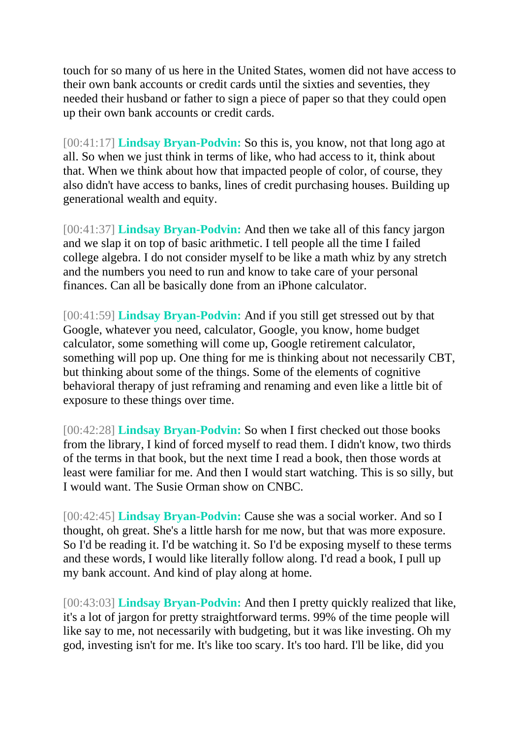touch for so many of us here in the United States, women did not have access to their own bank accounts or credit cards until the sixties and seventies, they needed their husband or father to sign a piece of paper so that they could open up their own bank accounts or credit cards.

[00:41:17] **Lindsay Bryan-Podvin:** So this is, you know, not that long ago at all. So when we just think in terms of like, who had access to it, think about that. When we think about how that impacted people of color, of course, they also didn't have access to banks, lines of credit purchasing houses. Building up generational wealth and equity.

[00:41:37] **Lindsay Bryan-Podvin:** And then we take all of this fancy jargon and we slap it on top of basic arithmetic. I tell people all the time I failed college algebra. I do not consider myself to be like a math whiz by any stretch and the numbers you need to run and know to take care of your personal finances. Can all be basically done from an iPhone calculator.

[00:41:59] **Lindsay Bryan-Podvin:** And if you still get stressed out by that Google, whatever you need, calculator, Google, you know, home budget calculator, some something will come up, Google retirement calculator, something will pop up. One thing for me is thinking about not necessarily CBT, but thinking about some of the things. Some of the elements of cognitive behavioral therapy of just reframing and renaming and even like a little bit of exposure to these things over time.

[00:42:28] **Lindsay Bryan-Podvin:** So when I first checked out those books from the library, I kind of forced myself to read them. I didn't know, two thirds of the terms in that book, but the next time I read a book, then those words at least were familiar for me. And then I would start watching. This is so silly, but I would want. The Susie Orman show on CNBC.

[00:42:45] **Lindsay Bryan-Podvin:** Cause she was a social worker. And so I thought, oh great. She's a little harsh for me now, but that was more exposure. So I'd be reading it. I'd be watching it. So I'd be exposing myself to these terms and these words, I would like literally follow along. I'd read a book, I pull up my bank account. And kind of play along at home.

[00:43:03] **Lindsay Bryan-Podvin:** And then I pretty quickly realized that like, it's a lot of jargon for pretty straightforward terms. 99% of the time people will like say to me, not necessarily with budgeting, but it was like investing. Oh my god, investing isn't for me. It's like too scary. It's too hard. I'll be like, did you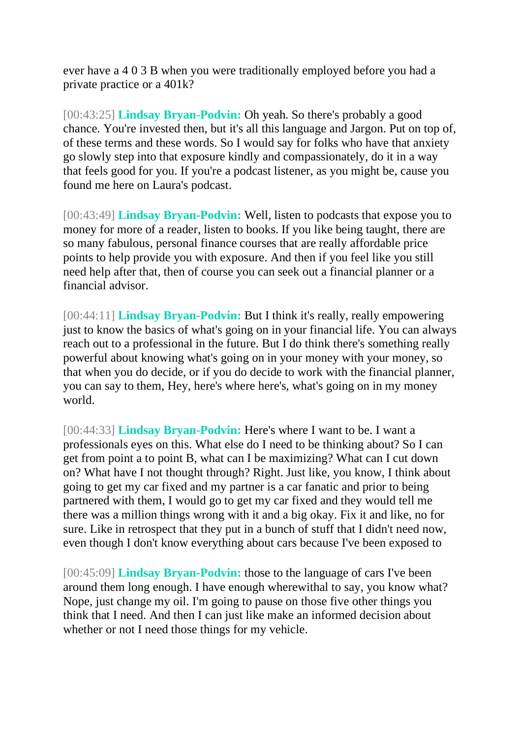ever have a 4 0 3 B when you were traditionally employed before you had a private practice or a 401k?

[00:43:25] **Lindsay Bryan-Podvin:** Oh yeah. So there's probably a good chance. You're invested then, but it's all this language and Jargon. Put on top of, of these terms and these words. So I would say for folks who have that anxiety go slowly step into that exposure kindly and compassionately, do it in a way that feels good for you. If you're a podcast listener, as you might be, cause you found me here on Laura's podcast.

[00:43:49] **Lindsay Bryan-Podvin:** Well, listen to podcasts that expose you to money for more of a reader, listen to books. If you like being taught, there are so many fabulous, personal finance courses that are really affordable price points to help provide you with exposure. And then if you feel like you still need help after that, then of course you can seek out a financial planner or a financial advisor.

[00:44:11] **Lindsay Bryan-Podvin:** But I think it's really, really empowering just to know the basics of what's going on in your financial life. You can always reach out to a professional in the future. But I do think there's something really powerful about knowing what's going on in your money with your money, so that when you do decide, or if you do decide to work with the financial planner, you can say to them, Hey, here's where here's, what's going on in my money world.

[00:44:33] **Lindsay Bryan-Podvin:** Here's where I want to be. I want a professionals eyes on this. What else do I need to be thinking about? So I can get from point a to point B, what can I be maximizing? What can I cut down on? What have I not thought through? Right. Just like, you know, I think about going to get my car fixed and my partner is a car fanatic and prior to being partnered with them, I would go to get my car fixed and they would tell me there was a million things wrong with it and a big okay. Fix it and like, no for sure. Like in retrospect that they put in a bunch of stuff that I didn't need now, even though I don't know everything about cars because I've been exposed to

[00:45:09] **Lindsay Bryan-Podvin:** those to the language of cars I've been around them long enough. I have enough wherewithal to say, you know what? Nope, just change my oil. I'm going to pause on those five other things you think that I need. And then I can just like make an informed decision about whether or not I need those things for my vehicle.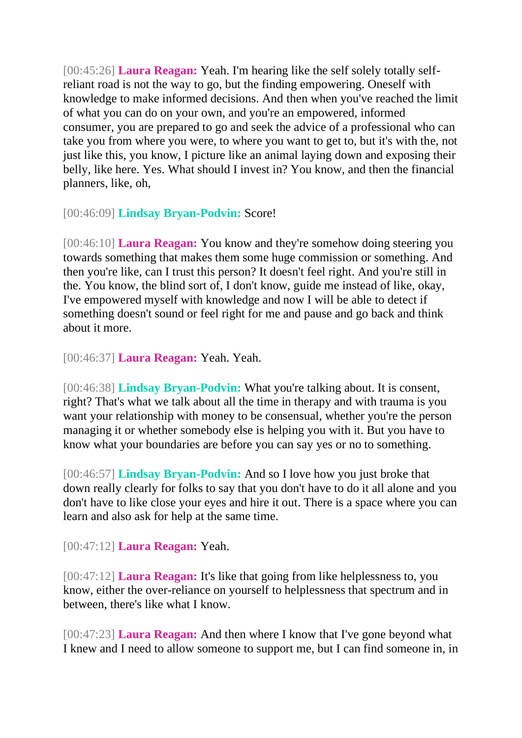[00:45:26] **Laura Reagan:** Yeah. I'm hearing like the self solely totally selfreliant road is not the way to go, but the finding empowering. Oneself with knowledge to make informed decisions. And then when you've reached the limit of what you can do on your own, and you're an empowered, informed consumer, you are prepared to go and seek the advice of a professional who can take you from where you were, to where you want to get to, but it's with the, not just like this, you know, I picture like an animal laying down and exposing their belly, like here. Yes. What should I invest in? You know, and then the financial planners, like, oh,

[00:46:09] **Lindsay Bryan-Podvin:** Score!

[00:46:10] **Laura Reagan:** You know and they're somehow doing steering you towards something that makes them some huge commission or something. And then you're like, can I trust this person? It doesn't feel right. And you're still in the. You know, the blind sort of, I don't know, guide me instead of like, okay, I've empowered myself with knowledge and now I will be able to detect if something doesn't sound or feel right for me and pause and go back and think about it more.

[00:46:37] **Laura Reagan:** Yeah. Yeah.

[00:46:38] **Lindsay Bryan-Podvin:** What you're talking about. It is consent, right? That's what we talk about all the time in therapy and with trauma is you want your relationship with money to be consensual, whether you're the person managing it or whether somebody else is helping you with it. But you have to know what your boundaries are before you can say yes or no to something.

[00:46:57] **Lindsay Bryan-Podvin:** And so I love how you just broke that down really clearly for folks to say that you don't have to do it all alone and you don't have to like close your eyes and hire it out. There is a space where you can learn and also ask for help at the same time.

[00:47:12] **Laura Reagan:** Yeah.

[00:47:12] **Laura Reagan:** It's like that going from like helplessness to, you know, either the over-reliance on yourself to helplessness that spectrum and in between, there's like what I know.

[00:47:23] **Laura Reagan:** And then where I know that I've gone beyond what I knew and I need to allow someone to support me, but I can find someone in, in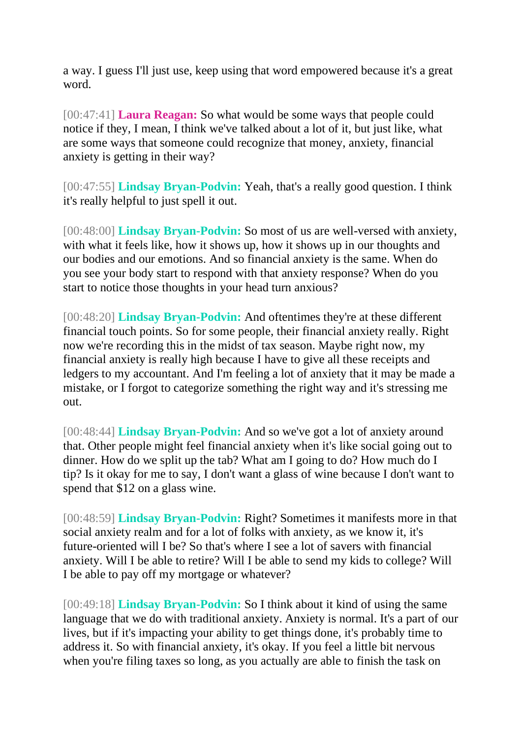a way. I guess I'll just use, keep using that word empowered because it's a great word.

[00:47:41] **Laura Reagan:** So what would be some ways that people could notice if they, I mean, I think we've talked about a lot of it, but just like, what are some ways that someone could recognize that money, anxiety, financial anxiety is getting in their way?

[00:47:55] **Lindsay Bryan-Podvin:** Yeah, that's a really good question. I think it's really helpful to just spell it out.

[00:48:00] **Lindsay Bryan-Podvin:** So most of us are well-versed with anxiety, with what it feels like, how it shows up, how it shows up in our thoughts and our bodies and our emotions. And so financial anxiety is the same. When do you see your body start to respond with that anxiety response? When do you start to notice those thoughts in your head turn anxious?

[00:48:20] **Lindsay Bryan-Podvin:** And oftentimes they're at these different financial touch points. So for some people, their financial anxiety really. Right now we're recording this in the midst of tax season. Maybe right now, my financial anxiety is really high because I have to give all these receipts and ledgers to my accountant. And I'm feeling a lot of anxiety that it may be made a mistake, or I forgot to categorize something the right way and it's stressing me out.

[00:48:44] **Lindsay Bryan-Podvin:** And so we've got a lot of anxiety around that. Other people might feel financial anxiety when it's like social going out to dinner. How do we split up the tab? What am I going to do? How much do I tip? Is it okay for me to say, I don't want a glass of wine because I don't want to spend that \$12 on a glass wine.

[00:48:59] **Lindsay Bryan-Podvin:** Right? Sometimes it manifests more in that social anxiety realm and for a lot of folks with anxiety, as we know it, it's future-oriented will I be? So that's where I see a lot of savers with financial anxiety. Will I be able to retire? Will I be able to send my kids to college? Will I be able to pay off my mortgage or whatever?

[00:49:18] **Lindsay Bryan-Podvin:** So I think about it kind of using the same language that we do with traditional anxiety. Anxiety is normal. It's a part of our lives, but if it's impacting your ability to get things done, it's probably time to address it. So with financial anxiety, it's okay. If you feel a little bit nervous when you're filing taxes so long, as you actually are able to finish the task on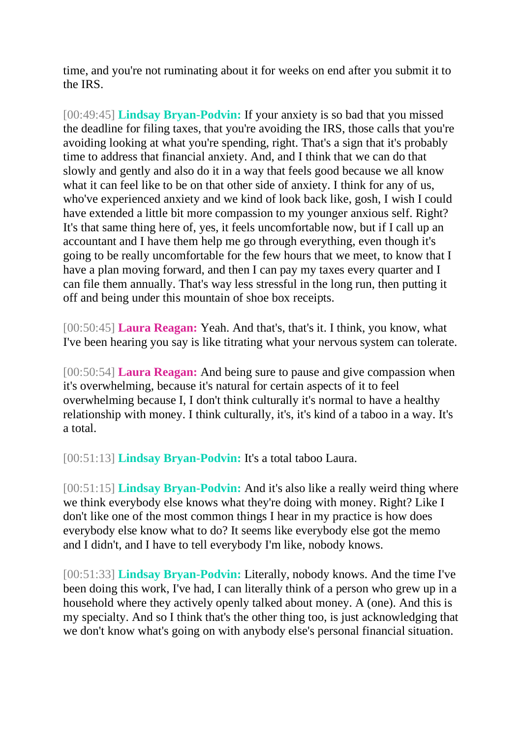time, and you're not ruminating about it for weeks on end after you submit it to the IRS.

[00:49:45] **Lindsay Bryan-Podvin:** If your anxiety is so bad that you missed the deadline for filing taxes, that you're avoiding the IRS, those calls that you're avoiding looking at what you're spending, right. That's a sign that it's probably time to address that financial anxiety. And, and I think that we can do that slowly and gently and also do it in a way that feels good because we all know what it can feel like to be on that other side of anxiety. I think for any of us, who've experienced anxiety and we kind of look back like, gosh, I wish I could have extended a little bit more compassion to my younger anxious self. Right? It's that same thing here of, yes, it feels uncomfortable now, but if I call up an accountant and I have them help me go through everything, even though it's going to be really uncomfortable for the few hours that we meet, to know that I have a plan moving forward, and then I can pay my taxes every quarter and I can file them annually. That's way less stressful in the long run, then putting it off and being under this mountain of shoe box receipts.

[00:50:45] **Laura Reagan:** Yeah. And that's, that's it. I think, you know, what I've been hearing you say is like titrating what your nervous system can tolerate.

[00:50:54] **Laura Reagan:** And being sure to pause and give compassion when it's overwhelming, because it's natural for certain aspects of it to feel overwhelming because I, I don't think culturally it's normal to have a healthy relationship with money. I think culturally, it's, it's kind of a taboo in a way. It's a total.

[00:51:13] **Lindsay Bryan-Podvin:** It's a total taboo Laura.

[00:51:15] **Lindsay Bryan-Podvin:** And it's also like a really weird thing where we think everybody else knows what they're doing with money. Right? Like I don't like one of the most common things I hear in my practice is how does everybody else know what to do? It seems like everybody else got the memo and I didn't, and I have to tell everybody I'm like, nobody knows.

[00:51:33] **Lindsay Bryan-Podvin:** Literally, nobody knows. And the time I've been doing this work, I've had, I can literally think of a person who grew up in a household where they actively openly talked about money. A (one). And this is my specialty. And so I think that's the other thing too, is just acknowledging that we don't know what's going on with anybody else's personal financial situation.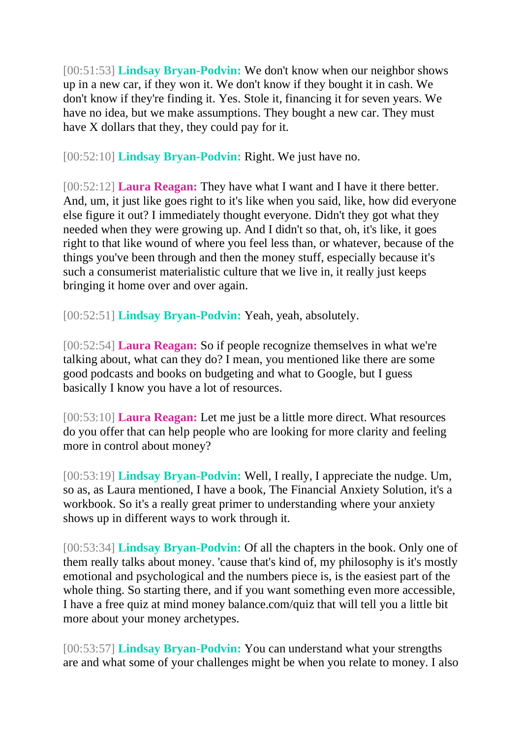[00:51:53] **Lindsay Bryan-Podvin:** We don't know when our neighbor shows up in a new car, if they won it. We don't know if they bought it in cash. We don't know if they're finding it. Yes. Stole it, financing it for seven years. We have no idea, but we make assumptions. They bought a new car. They must have X dollars that they, they could pay for it.

[00:52:10] **Lindsay Bryan-Podvin:** Right. We just have no.

[00:52:12] **Laura Reagan:** They have what I want and I have it there better. And, um, it just like goes right to it's like when you said, like, how did everyone else figure it out? I immediately thought everyone. Didn't they got what they needed when they were growing up. And I didn't so that, oh, it's like, it goes right to that like wound of where you feel less than, or whatever, because of the things you've been through and then the money stuff, especially because it's such a consumerist materialistic culture that we live in, it really just keeps bringing it home over and over again.

[00:52:51] **Lindsay Bryan-Podvin:** Yeah, yeah, absolutely.

[00:52:54] **Laura Reagan:** So if people recognize themselves in what we're talking about, what can they do? I mean, you mentioned like there are some good podcasts and books on budgeting and what to Google, but I guess basically I know you have a lot of resources.

[00:53:10] **Laura Reagan:** Let me just be a little more direct. What resources do you offer that can help people who are looking for more clarity and feeling more in control about money?

[00:53:19] **Lindsay Bryan-Podvin:** Well, I really, I appreciate the nudge. Um, so as, as Laura mentioned, I have a book, The Financial Anxiety Solution, it's a workbook. So it's a really great primer to understanding where your anxiety shows up in different ways to work through it.

[00:53:34] **Lindsay Bryan-Podvin:** Of all the chapters in the book. Only one of them really talks about money. 'cause that's kind of, my philosophy is it's mostly emotional and psychological and the numbers piece is, is the easiest part of the whole thing. So starting there, and if you want something even more accessible, I have a free quiz at mind money balance.com/quiz that will tell you a little bit more about your money archetypes.

[00:53:57] **Lindsay Bryan-Podvin:** You can understand what your strengths are and what some of your challenges might be when you relate to money. I also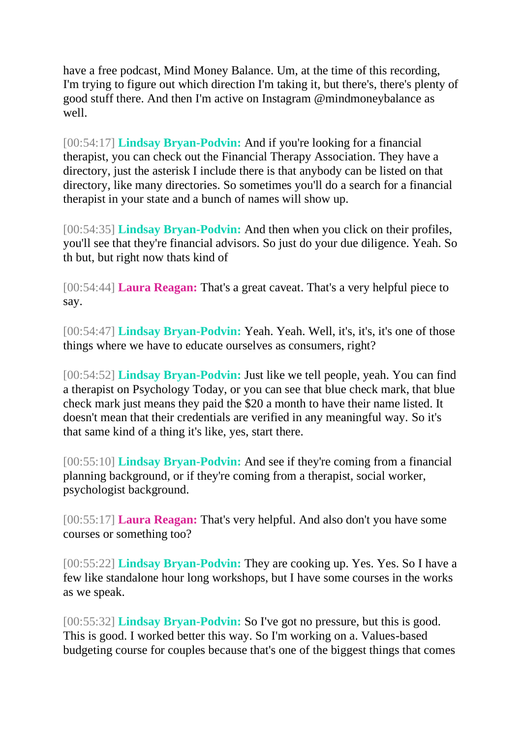have a free podcast, Mind Money Balance. Um, at the time of this recording, I'm trying to figure out which direction I'm taking it, but there's, there's plenty of good stuff there. And then I'm active on Instagram @mindmoneybalance as well.

[00:54:17] **Lindsay Bryan-Podvin:** And if you're looking for a financial therapist, you can check out the Financial Therapy Association. They have a directory, just the asterisk I include there is that anybody can be listed on that directory, like many directories. So sometimes you'll do a search for a financial therapist in your state and a bunch of names will show up.

[00:54:35] **Lindsay Bryan-Podvin:** And then when you click on their profiles, you'll see that they're financial advisors. So just do your due diligence. Yeah. So th but, but right now thats kind of

[00:54:44] **Laura Reagan:** That's a great caveat. That's a very helpful piece to say.

[00:54:47] **Lindsay Bryan-Podvin:** Yeah. Yeah. Well, it's, it's, it's one of those things where we have to educate ourselves as consumers, right?

[00:54:52] **Lindsay Bryan-Podvin:** Just like we tell people, yeah. You can find a therapist on Psychology Today, or you can see that blue check mark, that blue check mark just means they paid the \$20 a month to have their name listed. It doesn't mean that their credentials are verified in any meaningful way. So it's that same kind of a thing it's like, yes, start there.

[00:55:10] **Lindsay Bryan-Podvin:** And see if they're coming from a financial planning background, or if they're coming from a therapist, social worker, psychologist background.

[00:55:17] **Laura Reagan:** That's very helpful. And also don't you have some courses or something too?

[00:55:22] **Lindsay Bryan-Podvin:** They are cooking up. Yes. Yes. So I have a few like standalone hour long workshops, but I have some courses in the works as we speak.

[00:55:32] **Lindsay Bryan-Podvin:** So I've got no pressure, but this is good. This is good. I worked better this way. So I'm working on a. Values-based budgeting course for couples because that's one of the biggest things that comes